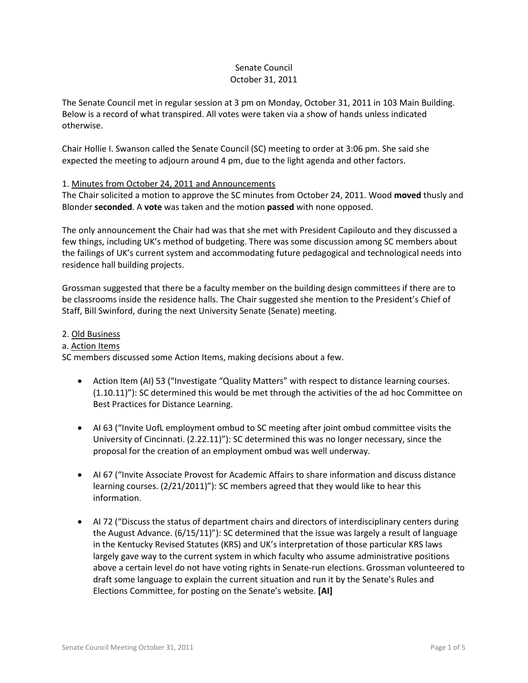## Senate Council October 31, 2011

The Senate Council met in regular session at 3 pm on Monday, October 31, 2011 in 103 Main Building. Below is a record of what transpired. All votes were taken via a show of hands unless indicated otherwise.

Chair Hollie I. Swanson called the Senate Council (SC) meeting to order at 3:06 pm. She said she expected the meeting to adjourn around 4 pm, due to the light agenda and other factors.

## 1. Minutes from October 24, 2011 and Announcements

The Chair solicited a motion to approve the SC minutes from October 24, 2011. Wood **moved** thusly and Blonder **seconded**. A **vote** was taken and the motion **passed** with none opposed.

The only announcement the Chair had was that she met with President Capilouto and they discussed a few things, including UK's method of budgeting. There was some discussion among SC members about the failings of UK's current system and accommodating future pedagogical and technological needs into residence hall building projects.

Grossman suggested that there be a faculty member on the building design committees if there are to be classrooms inside the residence halls. The Chair suggested she mention to the President's Chief of Staff, Bill Swinford, during the next University Senate (Senate) meeting.

### 2. Old Business

#### a. Action Items

SC members discussed some Action Items, making decisions about a few.

- Action Item (AI) 53 ("Investigate "Quality Matters" with respect to distance learning courses. (1.10.11)"): SC determined this would be met through the activities of the ad hoc Committee on Best Practices for Distance Learning.
- AI 63 ("Invite UofL employment ombud to SC meeting after joint ombud committee visits the University of Cincinnati. (2.22.11)"): SC determined this was no longer necessary, since the proposal for the creation of an employment ombud was well underway.
- AI 67 ("Invite Associate Provost for Academic Affairs to share information and discuss distance learning courses. (2/21/2011)"): SC members agreed that they would like to hear this information.
- AI 72 ("Discuss the status of department chairs and directors of interdisciplinary centers during the August Advance. (6/15/11)"): SC determined that the issue was largely a result of language in the Kentucky Revised Statutes (KRS) and UK's interpretation of those particular KRS laws largely gave way to the current system in which faculty who assume administrative positions above a certain level do not have voting rights in Senate-run elections. Grossman volunteered to draft some language to explain the current situation and run it by the Senate's Rules and Elections Committee, for posting on the Senate's website. **[AI]**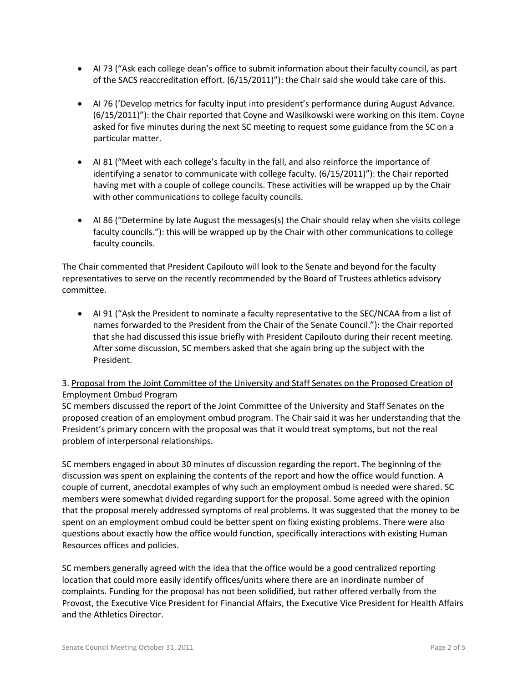- AI 73 ("Ask each college dean's office to submit information about their faculty council, as part of the SACS reaccreditation effort. (6/15/2011)"): the Chair said she would take care of this.
- AI 76 ('Develop metrics for faculty input into president's performance during August Advance. (6/15/2011)"): the Chair reported that Coyne and Wasilkowski were working on this item. Coyne asked for five minutes during the next SC meeting to request some guidance from the SC on a particular matter.
- AI 81 ("Meet with each college's faculty in the fall, and also reinforce the importance of identifying a senator to communicate with college faculty. (6/15/2011)"): the Chair reported having met with a couple of college councils. These activities will be wrapped up by the Chair with other communications to college faculty councils.
- AI 86 ("Determine by late August the messages(s) the Chair should relay when she visits college faculty councils."): this will be wrapped up by the Chair with other communications to college faculty councils.

The Chair commented that President Capilouto will look to the Senate and beyond for the faculty representatives to serve on the recently recommended by the Board of Trustees athletics advisory committee.

• AI 91 ("Ask the President to nominate a faculty representative to the SEC/NCAA from a list of names forwarded to the President from the Chair of the Senate Council."): the Chair reported that she had discussed this issue briefly with President Capilouto during their recent meeting. After some discussion, SC members asked that she again bring up the subject with the President.

# 3. Proposal from the Joint Committee of the University and Staff Senates on the Proposed Creation of Employment Ombud Program

SC members discussed the report of the Joint Committee of the University and Staff Senates on the proposed creation of an employment ombud program. The Chair said it was her understanding that the President's primary concern with the proposal was that it would treat symptoms, but not the real problem of interpersonal relationships.

SC members engaged in about 30 minutes of discussion regarding the report. The beginning of the discussion was spent on explaining the contents of the report and how the office would function. A couple of current, anecdotal examples of why such an employment ombud is needed were shared. SC members were somewhat divided regarding support for the proposal. Some agreed with the opinion that the proposal merely addressed symptoms of real problems. It was suggested that the money to be spent on an employment ombud could be better spent on fixing existing problems. There were also questions about exactly how the office would function, specifically interactions with existing Human Resources offices and policies.

SC members generally agreed with the idea that the office would be a good centralized reporting location that could more easily identify offices/units where there are an inordinate number of complaints. Funding for the proposal has not been solidified, but rather offered verbally from the Provost, the Executive Vice President for Financial Affairs, the Executive Vice President for Health Affairs and the Athletics Director.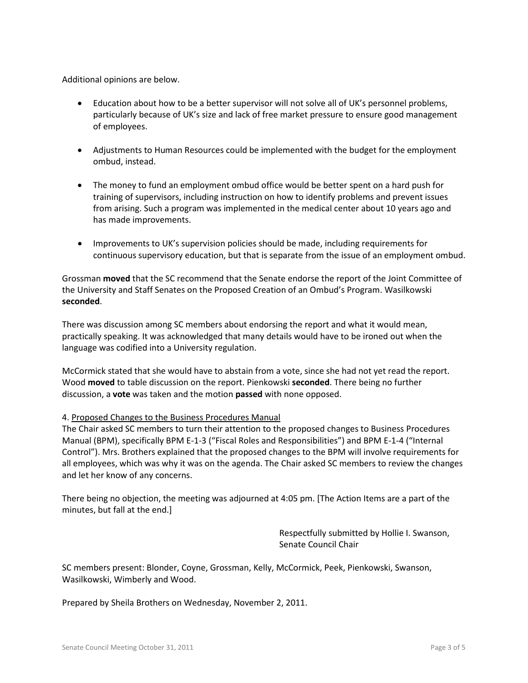Additional opinions are below.

- Education about how to be a better supervisor will not solve all of UK's personnel problems, particularly because of UK's size and lack of free market pressure to ensure good management of employees.
- Adjustments to Human Resources could be implemented with the budget for the employment ombud, instead.
- The money to fund an employment ombud office would be better spent on a hard push for training of supervisors, including instruction on how to identify problems and prevent issues from arising. Such a program was implemented in the medical center about 10 years ago and has made improvements.
- Improvements to UK's supervision policies should be made, including requirements for continuous supervisory education, but that is separate from the issue of an employment ombud.

Grossman **moved** that the SC recommend that the Senate endorse the report of the Joint Committee of the University and Staff Senates on the Proposed Creation of an Ombud's Program. Wasilkowski **seconded**.

There was discussion among SC members about endorsing the report and what it would mean, practically speaking. It was acknowledged that many details would have to be ironed out when the language was codified into a University regulation.

McCormick stated that she would have to abstain from a vote, since she had not yet read the report. Wood **moved** to table discussion on the report. Pienkowski **seconded**. There being no further discussion, a **vote** was taken and the motion **passed** with none opposed.

## 4. Proposed Changes to the Business Procedures Manual

The Chair asked SC members to turn their attention to the proposed changes to Business Procedures Manual (BPM), specifically BPM E-1-3 ("Fiscal Roles and Responsibilities") and BPM E-1-4 ("Internal Control"). Mrs. Brothers explained that the proposed changes to the BPM will involve requirements for all employees, which was why it was on the agenda. The Chair asked SC members to review the changes and let her know of any concerns.

There being no objection, the meeting was adjourned at 4:05 pm. [The Action Items are a part of the minutes, but fall at the end.]

> Respectfully submitted by Hollie I. Swanson, Senate Council Chair

SC members present: Blonder, Coyne, Grossman, Kelly, McCormick, Peek, Pienkowski, Swanson, Wasilkowski, Wimberly and Wood.

Prepared by Sheila Brothers on Wednesday, November 2, 2011.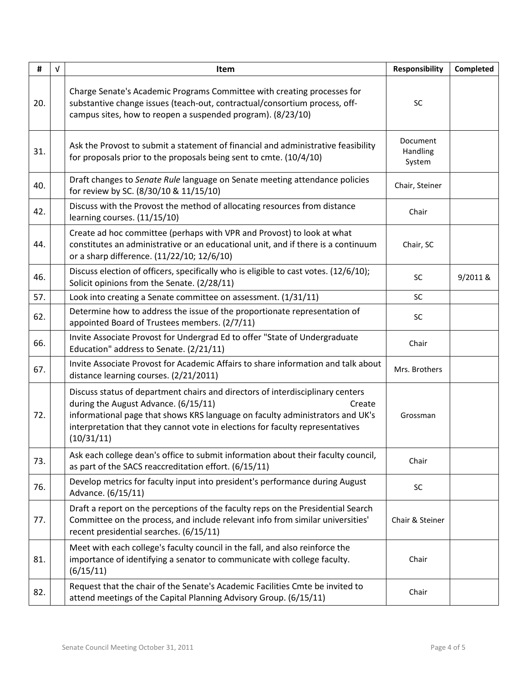| #   | $\sqrt{ }$ | Item                                                                                                                                                                                                                                                                                                             | Responsibility                 | Completed |
|-----|------------|------------------------------------------------------------------------------------------------------------------------------------------------------------------------------------------------------------------------------------------------------------------------------------------------------------------|--------------------------------|-----------|
| 20. |            | Charge Senate's Academic Programs Committee with creating processes for<br>substantive change issues (teach-out, contractual/consortium process, off-<br>campus sites, how to reopen a suspended program). (8/23/10)                                                                                             | SC                             |           |
| 31. |            | Ask the Provost to submit a statement of financial and administrative feasibility<br>for proposals prior to the proposals being sent to cmte. (10/4/10)                                                                                                                                                          | Document<br>Handling<br>System |           |
| 40. |            | Draft changes to Senate Rule language on Senate meeting attendance policies<br>for review by SC. (8/30/10 & 11/15/10)                                                                                                                                                                                            | Chair, Steiner                 |           |
| 42. |            | Discuss with the Provost the method of allocating resources from distance<br>learning courses. (11/15/10)                                                                                                                                                                                                        | Chair                          |           |
| 44. |            | Create ad hoc committee (perhaps with VPR and Provost) to look at what<br>constitutes an administrative or an educational unit, and if there is a continuum<br>or a sharp difference. (11/22/10; 12/6/10)                                                                                                        | Chair, SC                      |           |
| 46. |            | Discuss election of officers, specifically who is eligible to cast votes. (12/6/10);<br>Solicit opinions from the Senate. (2/28/11)                                                                                                                                                                              | <b>SC</b>                      | 9/2011 &  |
| 57. |            | Look into creating a Senate committee on assessment. (1/31/11)                                                                                                                                                                                                                                                   | SC                             |           |
| 62. |            | Determine how to address the issue of the proportionate representation of<br>appointed Board of Trustees members. (2/7/11)                                                                                                                                                                                       | SC                             |           |
| 66. |            | Invite Associate Provost for Undergrad Ed to offer "State of Undergraduate<br>Education" address to Senate. (2/21/11)                                                                                                                                                                                            | Chair                          |           |
| 67. |            | Invite Associate Provost for Academic Affairs to share information and talk about<br>distance learning courses. (2/21/2011)                                                                                                                                                                                      | Mrs. Brothers                  |           |
| 72. |            | Discuss status of department chairs and directors of interdisciplinary centers<br>during the August Advance. (6/15/11)<br>Create<br>informational page that shows KRS language on faculty administrators and UK's<br>interpretation that they cannot vote in elections for faculty representatives<br>(10/31/11) | Grossman                       |           |
| 73. |            | Ask each college dean's office to submit information about their faculty council,<br>as part of the SACS reaccreditation effort. (6/15/11)                                                                                                                                                                       | Chair                          |           |
| 76. |            | Develop metrics for faculty input into president's performance during August<br>Advance. (6/15/11)                                                                                                                                                                                                               | SC                             |           |
| 77. |            | Draft a report on the perceptions of the faculty reps on the Presidential Search<br>Committee on the process, and include relevant info from similar universities'<br>recent presidential searches. (6/15/11)                                                                                                    | Chair & Steiner                |           |
| 81. |            | Meet with each college's faculty council in the fall, and also reinforce the<br>importance of identifying a senator to communicate with college faculty.<br>(6/15/11)                                                                                                                                            | Chair                          |           |
| 82. |            | Request that the chair of the Senate's Academic Facilities Cmte be invited to<br>attend meetings of the Capital Planning Advisory Group. (6/15/11)                                                                                                                                                               | Chair                          |           |